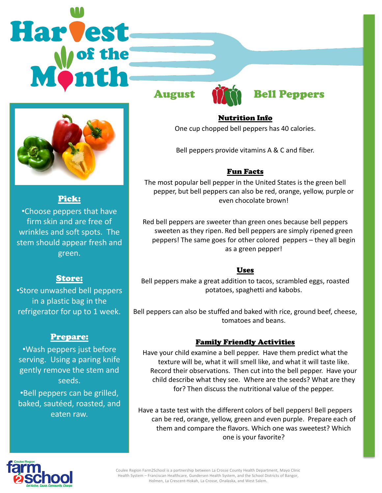# Harvest



Pick:

•Choose peppers that have firm skin and are free of wrinkles and soft spots. The stem should appear fresh and green.

# Store:

•Store unwashed bell peppers in a plastic bag in the refrigerator for up to 1 week.

# Prepare:

•Wash peppers just before serving. Using a paring knife gently remove the stem and seeds.

•Bell peppers can be grilled, baked, sautéed, roasted, and eaten raw.



# August **Many** Bell Peppers

### Nutrition Info

One cup chopped bell peppers has 40 calories.

Bell peppers provide vitamins A & C and fiber.

### Fun Facts

The most popular bell pepper in the United States is the green bell pepper, but bell peppers can also be red, orange, yellow, purple or even chocolate brown!

Red bell peppers are sweeter than green ones because bell peppers sweeten as they ripen. Red bell peppers are simply ripened green peppers! The same goes for other colored peppers – they all begin as a green pepper!

### Uses

Bell peppers make a great addition to tacos, scrambled eggs, roasted potatoes, spaghetti and kabobs.

Bell peppers can also be stuffed and baked with rice, ground beef, cheese, tomatoes and beans.

### Family Friendly Activities

Have your child examine a bell pepper. Have them predict what the texture will be, what it will smell like, and what it will taste like. Record their observations. Then cut into the bell pepper. Have your child describe what they see. Where are the seeds? What are they for? Then discuss the nutritional value of the pepper.

Have a taste test with the different colors of bell peppers! Bell peppers can be red, orange, yellow, green and even purple. Prepare each of them and compare the flavors. Which one was sweetest? Which one is your favorite?



Coulee Region Farm2School is a partnership between La Crosse County Health Department, Mayo Clinic Health System – Franciscan Healthcare, Gundersen Health System, and the School Districts of Bangor, Holmen, La Crescent-Hokah, La Crosse, Onalaska, and West Salem.